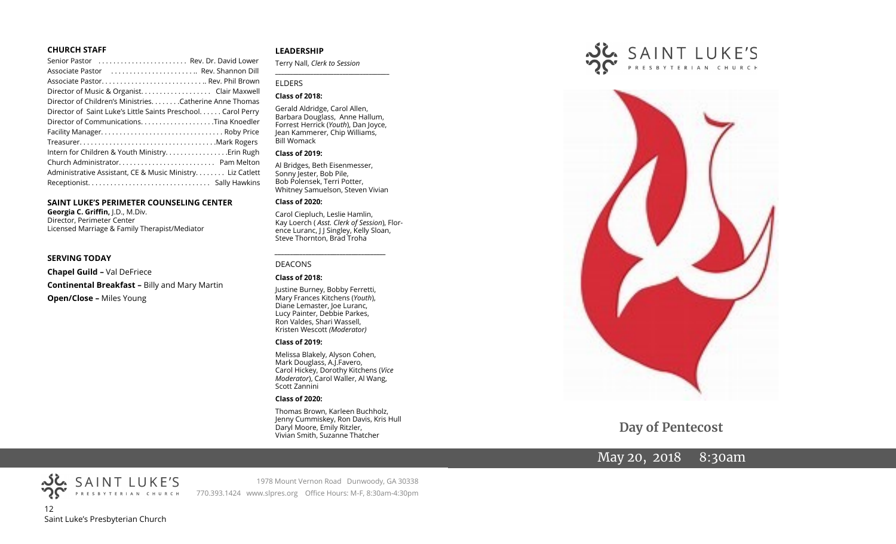#### **CHURCH STAFF**

| Senior Pastor  Rev. Dr. David Lower                           |  |
|---------------------------------------------------------------|--|
| Associate Pastor  Rev. Shannon Dill                           |  |
|                                                               |  |
|                                                               |  |
| Director of Children's MinistriesCatherine Anne Thomas        |  |
| Director of Saint Luke's Little Saints Preschool. Carol Perry |  |
|                                                               |  |
|                                                               |  |
|                                                               |  |
| Intern for Children & Youth Ministry Erin Rugh                |  |
|                                                               |  |
| Administrative Assistant, CE & Music Ministry Liz Catlett     |  |
|                                                               |  |
|                                                               |  |

#### **SAINT LUKE'S PERIMETER COUNSELING CENTER**

**Georgia C. Griffin,** J.D., M.Div. Director, Perimeter Center Licensed Marriage & Family Therapist/Mediator

#### **SERVING TODAY**

**Chapel Guild –** Val DeFriece **Continental Breakfast –** Billy and Mary Martin **Open/Close –** Miles Young

#### **LEADERSHIP**

Terry Nall, *Clerk to Session*  **\_\_\_\_\_\_\_\_\_\_\_\_\_\_\_\_\_\_\_\_\_\_\_\_\_\_\_\_\_\_\_\_\_\_\_\_\_\_\_**

#### ELDERS

#### **Class of 2018:**

Gerald Aldridge, Carol Allen, Barbara Douglass, Anne Hallum, Forrest Herrick (*Youth*), Dan Joyce, Jean Kammerer, Chip Williams, Bill Womack

#### **Class of 2019:**

Al Bridges, Beth Eisenmesser, Sonny Jester, Bob Pile, Bob Polensek, Terri Potter, Whitney Samuelson, Steven Vivian

#### **Class of 2020:**

Carol Ciepluch, Leslie Hamlin, Kay Loerch ( *Asst. Clerk of Session*), Florence Luranc, J J Singley, Kelly Sloan, Steve Thornton, Brad Troha

#### DEACONS

#### **Class of 2018:**

Justine Burney, Bobby Ferretti, Mary Frances Kitchens (*Youth*), Diane Lemaster, Joe Luranc, Lucy Painter, Debbie Parkes, Ron Valdes, Shari Wassell, Kristen Wescott *(Moderator)*

*\_\_\_\_\_\_\_\_\_\_\_\_\_\_\_\_\_\_\_\_\_\_\_\_\_\_\_\_\_\_\_\_\_\_\_\_*

#### **Class of 2019:**

Melissa Blakely, Alyson Cohen, Mark Douglass, A.J.Favero, Carol Hickey, Dorothy Kitchens (*Vice Moderator*), Carol Waller, Al Wang, Scott Zannini

#### **Class of 2020:**

Thomas Brown, Karleen Buchholz, Jenny Cummiskey, Ron Davis, Kris Hull Daryl Moore, Emily Ritzler, Vivian Smith, Suzanne Thatcher





**Day of Pentecost**

## May 20, 2018 8:30am



SAINT LUKE'S

1978 Mount Vernon Road Dunwoody, GA 30338 770.393.1424 www.slpres.org Office Hours: M-F, 8:30am-4:30pm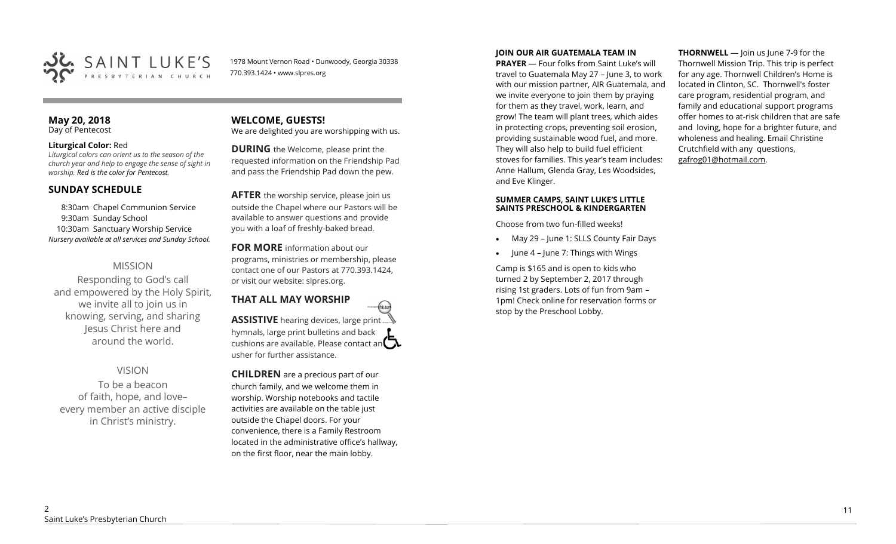

1978 Mount Vernon Road • Dunwoody, Georgia 30338 770.393.1424 • www.slpres.org

#### **May 20, 2018**  Day of Pentecost

#### **Liturgical Color:** Red

*Liturgical colors can orient us to the season of the church year and help to engage the sense of sight in worship. Red is the color for Pentecost.* 

## **SUNDAY SCHEDULE**

8:30am Chapel Communion Service 9:30am Sunday School 10:30am Sanctuary Worship Service *Nursery available at all services and Sunday School.* 

## MISSION

Responding to God's call and empowered by the Holy Spirit, we invite all to join us in knowing, serving, and sharing Jesus Christ here and around the world.

## VISION

To be a beacon of faith, hope, and love– every member an active disciple in Christ's ministry.

# **WELCOME, GUESTS!**

We are delighted you are worshipping with us.

**DURING** the Welcome, please print the requested information on the Friendship Pad and pass the Friendship Pad down the pew.

**AFTER** the worship service, please join us outside the Chapel where our Pastors will be available to answer questions and provide you with a loaf of freshly-baked bread.

**FOR MORE** information about our programs, ministries or membership, please contact one of our Pastors at 770.393.1424, or visit our website: slpres.org.

# **THAT ALL MAY WORSHIP**

**ASSISTIVE** hearing devices, large print hymnals, large print bulletins and back cushions are available. Please contact an  $\Box$ usher for further assistance.

thistex

**CHILDREN** are a precious part of our church family, and we welcome them in worship. Worship notebooks and tactile activities are available on the table just outside the Chapel doors. For your convenience, there is a Family Restroom located in the administrative office's hallway, on the first floor, near the main lobby.

#### **JOIN OUR AIR GUATEMALA TEAM IN**

**PRAYER** — Four folks from Saint Luke's will travel to Guatemala May 27 – June 3, to work with our mission partner, AIR Guatemala, and we invite everyone to join them by praying for them as they travel, work, learn, and grow! The team will plant trees, which aides in protecting crops, preventing soil erosion, providing sustainable wood fuel, and more. They will also help to build fuel efficient stoves for families. This year's team includes: Anne Hallum, Glenda Gray, Les Woodsides, and Eve Klinger.

#### **SUMMER CAMPS, SAINT LUKE'S LITTLE SAINTS PRESCHOOL & KINDERGARTEN**

Choose from two fun-filled weeks!

- May 29 June 1: SLLS County Fair Days
- June 4 June 7: Things with Wings

Camp is \$165 and is open to kids who turned 2 by September 2, 2017 through rising 1st graders. Lots of fun from 9am – 1pm! Check online for reservation forms or stop by the Preschool Lobby.

**THORNWELL** — Join us June 7-9 for the Thornwell Mission Trip. This trip is perfect for any age. Thornwell Children's Home is located in Clinton, SC. Thornwell's foster care program, residential program, and family and educational support programs offer homes to at-risk children that are safe and loving, hope for a brighter future, and wholeness and healing. Email Christine Crutchfield with any questions, gafrog01@hotmail.com.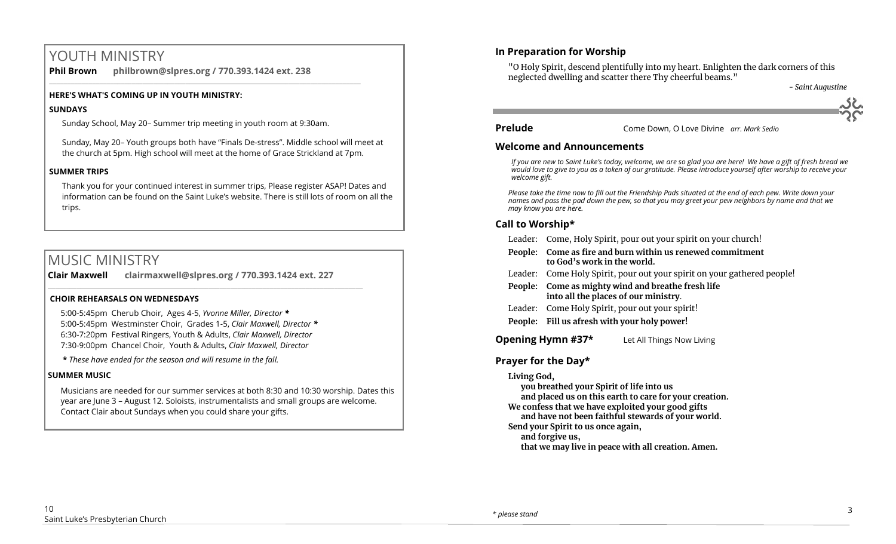# YOUTH MINISTRY

**Phil Brown philbrown@slpres.org / 770.393.1424 ext. 238**  \_\_\_\_\_\_\_\_\_\_\_\_\_\_\_\_\_\_\_\_\_\_\_\_\_\_\_\_\_\_\_\_\_\_\_\_\_\_\_\_\_\_\_\_\_\_\_\_\_\_\_\_\_\_\_\_\_\_\_\_\_\_\_\_\_\_\_\_\_\_\_\_\_\_\_\_\_\_\_\_\_\_\_\_\_\_\_

### **HERE'S WHAT'S COMING UP IN YOUTH MINISTRY:**

### **SUNDAYS**

Sunday School, May 20– Summer trip meeting in youth room at 9:30am.

Sunday, May 20– Youth groups both have "Finals De-stress". Middle school will meet at the church at 5pm. High school will meet at the home of Grace Strickland at 7pm.

## **SUMMER TRIPS**

Thank you for your continued interest in summer trips, Please register ASAP! Dates and information can be found on the Saint Luke's website. There is still lots of room on all the trips.

# MUSIC MINISTRY

**Clair Maxwell clairmaxwell@slpres.org / 770.393.1424 ext. 227**   $\_$  ,  $\_$  ,  $\_$  ,  $\_$  ,  $\_$  ,  $\_$  ,  $\_$  ,  $\_$  ,  $\_$  ,  $\_$  ,  $\_$  ,  $\_$  ,  $\_$  ,  $\_$  ,  $\_$  ,  $\_$  ,  $\_$  ,  $\_$  ,  $\_$ 

### **CHOIR REHEARSALS ON WEDNESDAYS**

5:00-5:45pm Cherub Choir, Ages 4-5, *Yvonne Miller, Director \** 5:00-5:45pm Westminster Choir, Grades 1-5, *Clair Maxwell, Director \**  6:30-7:20pm Festival Ringers, Youth & Adults, *Clair Maxwell, Director*  7:30-9:00pm Chancel Choir, Youth & Adults, *Clair Maxwell, Director* 

**\*** *These have ended for the season and will resume in the fall.*

### **SUMMER MUSIC**

Musicians are needed for our summer services at both 8:30 and 10:30 worship. Dates this year are June 3 – August 12. Soloists, instrumentalists and small groups are welcome. Contact Clair about Sundays when you could share your gifts.

## **In Preparation for Worship**

"O Holy Spirit, descend plentifully into my heart. Enlighten the dark corners of this neglected dwelling and scatter there Thy cheerful beams." *- Saint Augustine*

**Prelude** Come Down, O Love Divine *arr. Mark Sedio*

### **Welcome and Announcements**

*If you are new to Saint Luke's today, welcome, we are so glad you are here! We have a gift of fresh bread we would love to give to you as a token of our gratitude. Please introduce yourself after worship to receive your welcome gift.*

*Please take the time now to fill out the Friendship Pads situated at the end of each pew. Write down your names and pass the pad down the pew, so that you may greet your pew neighbors by name and that we may know you are here.*

## **Call to Worship\***

- Leader: Come, Holy Spirit, pour out your spirit on your church!
- **People: Come as fire and burn within us renewed commitment to God's work in the world.**
- Leader: Come Holy Spirit, pour out your spirit on your gathered people!
- **People: Come as mighty wind and breathe fresh life into all the places of our ministry**.
- Leader: Come Holy Spirit, pour out your spirit!
- **People: Fill us afresh with your holy power!**

**Opening Hymn #37\*** Let All Things Now Living

## **Prayer for the Day\***

### **Living God,**

**you breathed your Spirit of life into us** 

**and placed us on this earth to care for your creation.** 

**We confess that we have exploited your good gifts and have not been faithful stewards of your world.** 

**Send your Spirit to us once again,** 

**and forgive us,** 

**that we may live in peace with all creation. Amen.**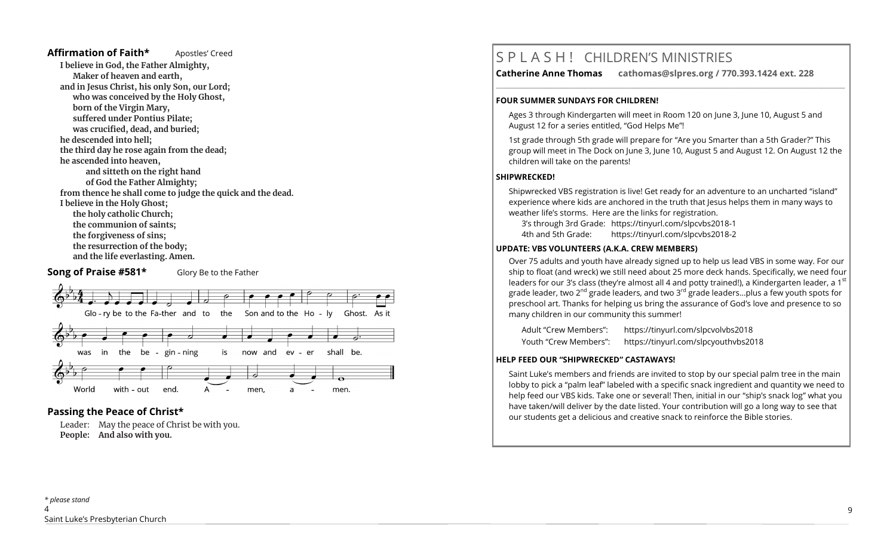#### **Affirmation of Faith\*** Apostles' Creed

**I believe in God, the Father Almighty, Maker of heaven and earth, and in Jesus Christ, his only Son, our Lord; who was conceived by the Holy Ghost, born of the Virgin Mary, suffered under Pontius Pilate; was crucified, dead, and buried; he descended into hell; the third day he rose again from the dead; he ascended into heaven, and sitteth on the right hand of God the Father Almighty; from thence he shall come to judge the quick and the dead. I believe in the Holy Ghost; the holy catholic Church; the communion of saints; the forgiveness of sins; the resurrection of the body; and the life everlasting. Amen.**

#### **Song of Praise #581\*** Glory Be to the Father



## **Passing the Peace of Christ\***

Leader: May the peace of Christ be with you. **People: And also with you.** 

# S P L A S H ! CHILDREN'S MINISTRIES

**Catherine Anne Thomas cathomas@slpres.org / 770.393.1424 ext. 228** 

#### **FOUR SUMMER SUNDAYS FOR CHILDREN!**

Ages 3 through Kindergarten will meet in Room 120 on June 3, June 10, August 5 and August 12 for a series entitled, "God Helps Me"!

**\_\_\_\_\_\_\_\_\_\_\_\_\_\_\_\_\_\_\_\_\_\_\_\_\_\_\_\_\_\_\_\_\_\_\_\_\_\_\_\_\_\_\_\_\_\_\_\_\_\_\_\_\_\_\_\_\_\_\_\_\_\_\_\_\_\_\_\_\_\_\_\_\_\_\_\_\_\_\_\_\_\_\_\_\_\_\_\_\_\_\_\_\_\_\_\_\_\_\_\_\_\_\_\_\_\_** 

1st grade through 5th grade will prepare for "Are you Smarter than a 5th Grader?" This group will meet in The Dock on June 3, June 10, August 5 and August 12. On August 12 the children will take on the parents!

#### **SHIPWRECKED!**

Shipwrecked VBS registration is live! Get ready for an adventure to an uncharted "island" experience where kids are anchored in the truth that Jesus helps them in many ways to weather life's storms. Here are the links for registration.

3's through 3rd Grade: https://tinyurl.com/slpcvbs2018-1

4th and 5th Grade: https://tinyurl.com/slpcvbs2018-2

#### **UPDATE: VBS VOLUNTEERS (A.K.A. CREW MEMBERS)**

Over 75 adults and youth have already signed up to help us lead VBS in some way. For our ship to float (and wreck) we still need about 25 more deck hands. Specifically, we need four leaders for our 3's class (they're almost all 4 and potty trained!), a Kindergarten leader, a 1st grade leader, two 2<sup>nd</sup> grade leaders, and two 3<sup>rd</sup> grade leaders...plus a few youth spots for preschool art. Thanks for helping us bring the assurance of God's love and presence to so many children in our community this summer!

Adult "Crew Members": https://tinyurl.com/slpcvolvbs2018 Youth "Crew Members": https://tinyurl.com/slpcyouthvbs2018

#### **HELP FEED OUR "SHIPWRECKED" CASTAWAYS!**

Saint Luke's members and friends are invited to stop by our special palm tree in the main lobby to pick a "palm leaf" labeled with a specific snack ingredient and quantity we need to help feed our VBS kids. Take one or several! Then, initial in our "ship's snack log" what you have taken/will deliver by the date listed. Your contribution will go a long way to see that our students get a delicious and creative snack to reinforce the Bible stories.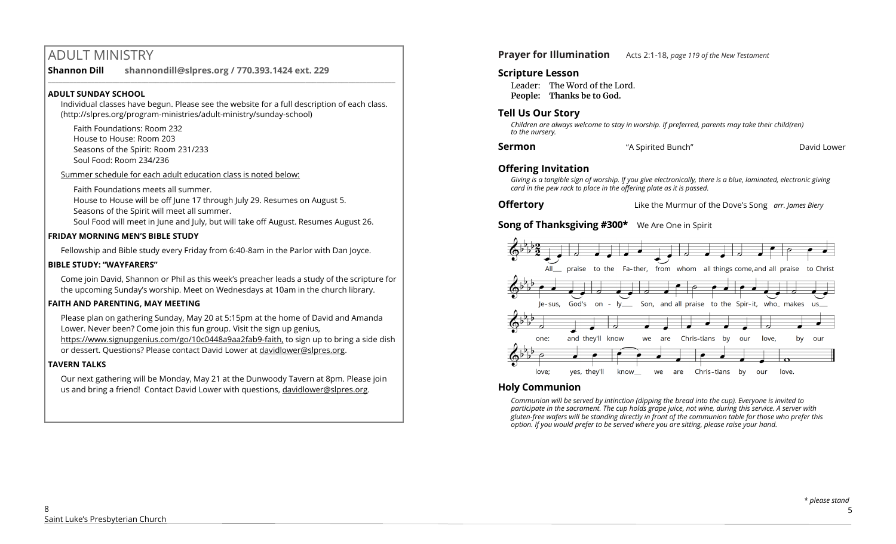# ADULT MINISTRY

**Shannon Dill shannondill@slpres.org / 770.393.1424 ext. 229** 

#### **ADULT SUNDAY SCHOOL**

Individual classes have begun. Please see the website for a full description of each class. (http://slpres.org/program-ministries/adult-ministry/sunday-school)

 $\_$  ,  $\_$  ,  $\_$  ,  $\_$  ,  $\_$  ,  $\_$  ,  $\_$  ,  $\_$  ,  $\_$  ,  $\_$  ,  $\_$  ,  $\_$  ,  $\_$  ,  $\_$  ,  $\_$  ,  $\_$  ,  $\_$  ,  $\_$  ,  $\_$ 

Faith Foundations: Room 232 House to House: Room 203 Seasons of the Spirit: Room 231/233 Soul Food: Room 234/236

Summer schedule for each adult education class is noted below:

Faith Foundations meets all summer. House to House will be off June 17 through July 29. Resumes on August 5. Seasons of the Spirit will meet all summer.

Soul Food will meet in June and July, but will take off August. Resumes August 26.

#### **FRIDAY MORNING MEN'S BIBLE STUDY**

Fellowship and Bible study every Friday from 6:40-8am in the Parlor with Dan Joyce.

#### **BIBLE STUDY: "WAYFARERS"**

Come join David, Shannon or Phil as this week's preacher leads a study of the scripture for the upcoming Sunday's worship. Meet on Wednesdays at 10am in the church library.

### **FAITH AND PARENTING, MAY MEETING**

Please plan on gathering Sunday, May 20 at 5:15pm at the home of David and Amanda Lower. Never been? Come join this fun group. Visit the sign up genius, https://www.signupgenius.com/go/10c0448a9aa2fab9-faith, to sign up to bring a side dish or dessert. Questions? Please contact David Lower at davidlower@slpres.org.

### **TAVERN TALKS**

Our next gathering will be Monday, May 21 at the Dunwoody Tavern at 8pm. Please join us and bring a friend! Contact David Lower with questions, davidlower@slpres.org.

**Prayer for Illumination** Acts 2:1-18, *page 119 of the New Testament* 

## **Scripture Lesson**

Leader: The Word of the Lord. **People: Thanks be to God.**

## **Tell Us Our Story**

*Children are always welcome to stay in worship. If preferred, parents may take their child(ren) to the nursery.*

| Sermon | "A Spirited Bunch" | David Lower |
|--------|--------------------|-------------|
|--------|--------------------|-------------|

## **Offering Invitation**

*Giving is a tangible sign of worship. If you give electronically, there is a blue, laminated, electronic giving card in the pew rack to place in the offering plate as it is passed.*

**Offertory** Like the Murmur of the Dove's Song *arr. James Biery*

**Song of Thanksgiving #300\*** We Are One in Spirit



## **Holy Communion**

*Communion will be served by intinction (dipping the bread into the cup). Everyone is invited to participate in the sacrament. The cup holds grape juice, not wine, during this service. A server with gluten-free wafers will be standing directly in front of the communion table for those who prefer this option. If you would prefer to be served where you are sitting, please raise your hand.*